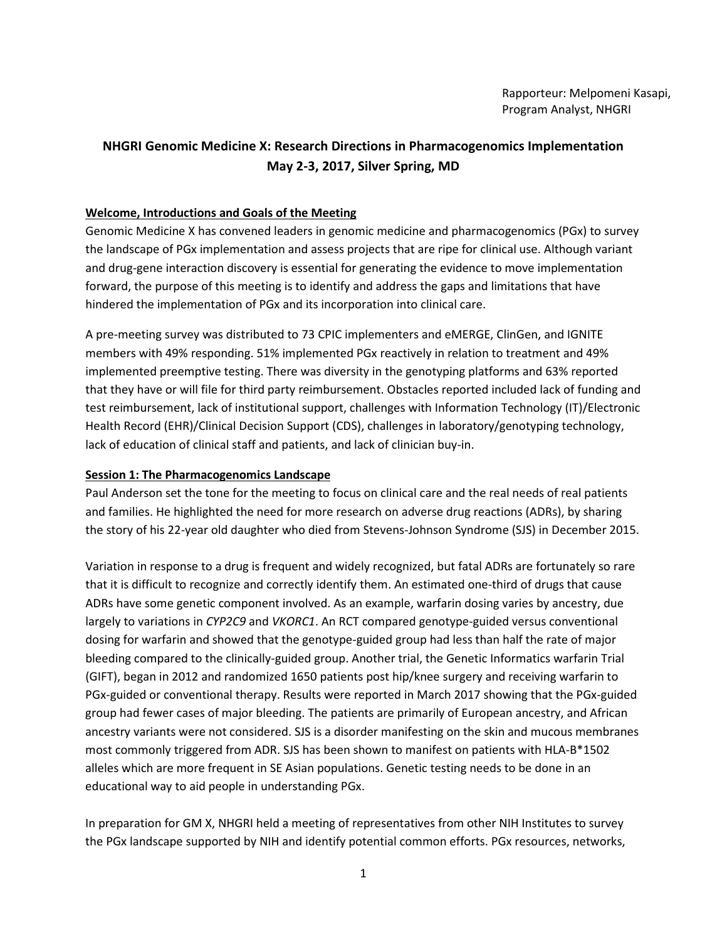# **NHGRI Genomic Medicine X: Research Directions in Pharmacogenomics Implementation May 2-3, 2017, Silver Spring, MD**

# **Welcome, Introductions and Goals of the Meeting**

Genomic Medicine X has convened leaders in genomic medicine and pharmacogenomics (PGx) to survey the landscape of PGx implementation and assess projects that are ripe for clinical use. Although variant and drug-gene interaction discovery is essential for generating the evidence to move implementation forward, the purpose of this meeting is to identify and address the gaps and limitations that have hindered the implementation of PGx and its incorporation into clinical care.

A pre-meeting survey was distributed to 73 CPIC implementers and eMERGE, ClinGen, and IGNITE members with 49% responding. 51% implemented PGx reactively in relation to treatment and 49% implemented preemptive testing. There was diversity in the genotyping platforms and 63% reported that they have or will file for third party reimbursement. Obstacles reported included lack of funding and test reimbursement, lack of institutional support, challenges with Information Technology (IT)/Electronic Health Record (EHR)/Clinical Decision Support (CDS), challenges in laboratory/genotyping technology, lack of education of clinical staff and patients, and lack of clinician buy-in.

## **Session 1: The Pharmacogenomics Landscape**

Paul Anderson set the tone for the meeting to focus on clinical care and the real needs of real patients and families. He highlighted the need for more research on adverse drug reactions (ADRs), by sharing the story of his 22-year old daughter who died from Stevens-Johnson Syndrome (SJS) in December 2015.

Variation in response to a drug is frequent and widely recognized, but fatal ADRs are fortunately so rare that it is difficult to recognize and correctly identify them. An estimated one-third of drugs that cause ADRs have some genetic component involved. As an example, warfarin dosing varies by ancestry, due largely to variations in *CYP2C9* and *VKORC1*. An RCT compared genotype-guided versus conventional dosing for warfarin and showed that the genotype-guided group had less than half the rate of major bleeding compared to the clinically-guided group. Another trial, the Genetic Informatics warfarin Trial (GIFT), began in 2012 and randomized 1650 patients post hip/knee surgery and receiving warfarin to PGx-guided or conventional therapy. Results were reported in March 2017 showing that the PGx-guided group had fewer cases of major bleeding. The patients are primarily of European ancestry, and African ancestry variants were not considered. SJS is a disorder manifesting on the skin and mucous membranes most commonly triggered from ADR. SJS has been shown to manifest on patients with HLA-B\*1502 alleles which are more frequent in SE Asian populations. Genetic testing needs to be done in an educational way to aid people in understanding PGx.

In preparation for GM X, NHGRI held a meeting of representatives from other NIH Institutes to survey the PGx landscape supported by NIH and identify potential common efforts. PGx resources, networks,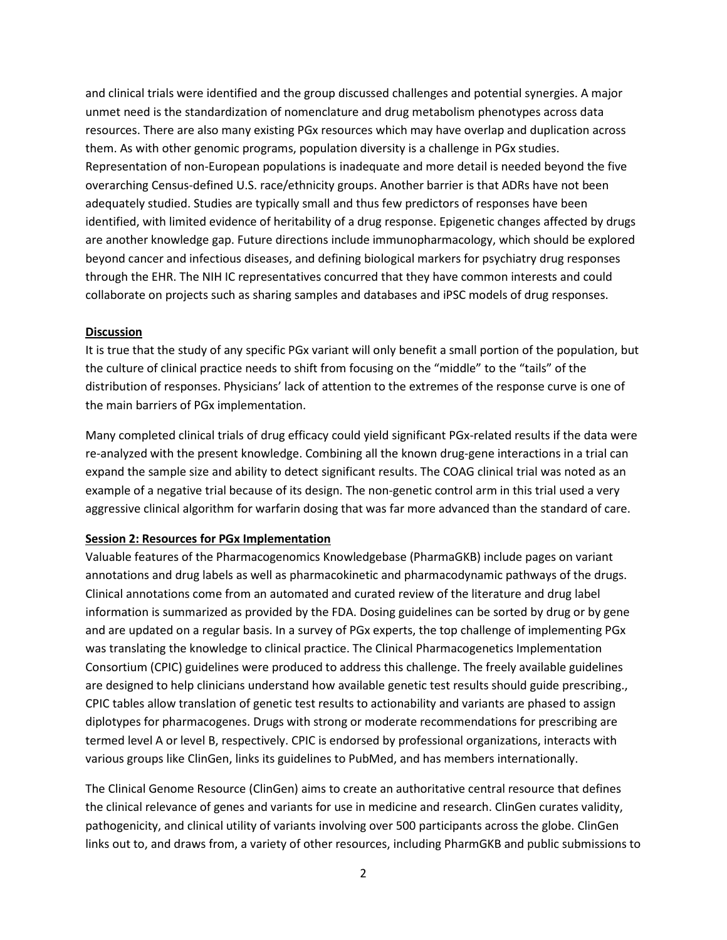and clinical trials were identified and the group discussed challenges and potential synergies. A major unmet need is the standardization of nomenclature and drug metabolism phenotypes across data resources. There are also many existing PGx resources which may have overlap and duplication across them. As with other genomic programs, population diversity is a challenge in PGx studies. Representation of non-European populations is inadequate and more detail is needed beyond the five overarching Census-defined U.S. race/ethnicity groups. Another barrier is that ADRs have not been adequately studied. Studies are typically small and thus few predictors of responses have been identified, with limited evidence of heritability of a drug response. Epigenetic changes affected by drugs are another knowledge gap. Future directions include immunopharmacology, which should be explored beyond cancer and infectious diseases, and defining biological markers for psychiatry drug responses through the EHR. The NIH IC representatives concurred that they have common interests and could collaborate on projects such as sharing samples and databases and iPSC models of drug responses.

## **Discussion**

It is true that the study of any specific PGx variant will only benefit a small portion of the population, but the culture of clinical practice needs to shift from focusing on the "middle" to the "tails" of the distribution of responses. Physicians' lack of attention to the extremes of the response curve is one of the main barriers of PGx implementation.

Many completed clinical trials of drug efficacy could yield significant PGx-related results if the data were re-analyzed with the present knowledge. Combining all the known drug-gene interactions in a trial can expand the sample size and ability to detect significant results. The COAG clinical trial was noted as an example of a negative trial because of its design. The non-genetic control arm in this trial used a very aggressive clinical algorithm for warfarin dosing that was far more advanced than the standard of care.

### **Session 2: Resources for PGx Implementation**

Valuable features of the Pharmacogenomics Knowledgebase (PharmaGKB) include pages on variant annotations and drug labels as well as pharmacokinetic and pharmacodynamic pathways of the drugs. Clinical annotations come from an automated and curated review of the literature and drug label information is summarized as provided by the FDA. Dosing guidelines can be sorted by drug or by gene and are updated on a regular basis. In a survey of PGx experts, the top challenge of implementing PGx was translating the knowledge to clinical practice. The Clinical Pharmacogenetics Implementation Consortium (CPIC) guidelines were produced to address this challenge. The freely available guidelines are designed to help clinicians understand how available genetic test results should guide prescribing., CPIC tables allow translation of genetic test results to actionability and variants are phased to assign diplotypes for pharmacogenes. Drugs with strong or moderate recommendations for prescribing are termed level A or level B, respectively. CPIC is endorsed by professional organizations, interacts with various groups like ClinGen, links its guidelines to PubMed, and has members internationally.

The Clinical Genome Resource (ClinGen) aims to create an authoritative central resource that defines the clinical relevance of genes and variants for use in medicine and research. ClinGen curates validity, pathogenicity, and clinical utility of variants involving over 500 participants across the globe. ClinGen links out to, and draws from, a variety of other resources, including PharmGKB and public submissions to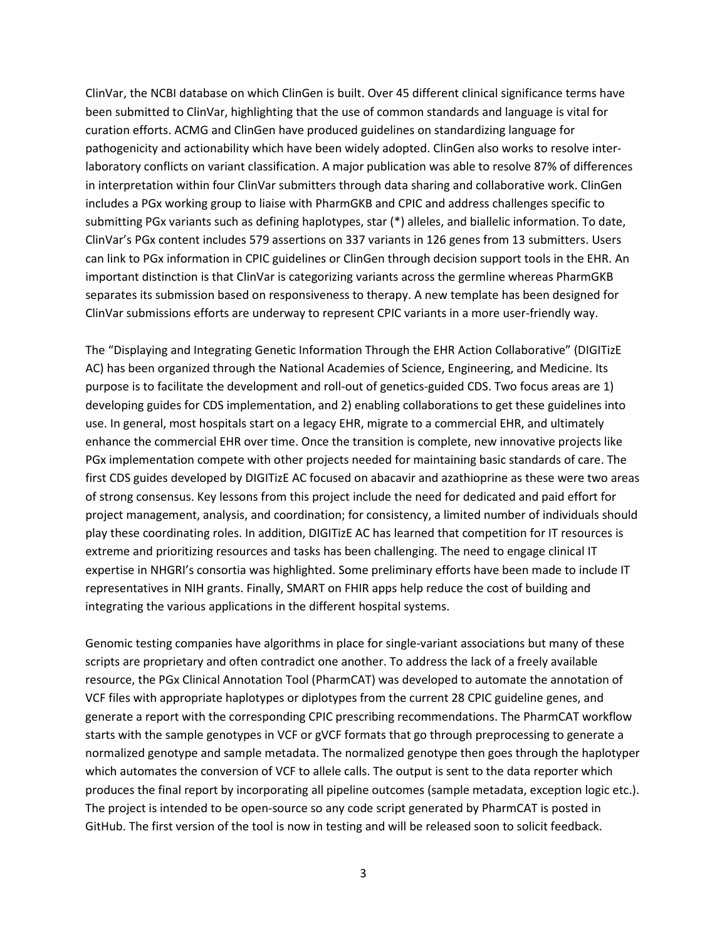ClinVar, the NCBI database on which ClinGen is built. Over 45 different clinical significance terms have been submitted to ClinVar, highlighting that the use of common standards and language is vital for curation efforts. ACMG and ClinGen have produced guidelines on standardizing language for pathogenicity and actionability which have been widely adopted. ClinGen also works to resolve interlaboratory conflicts on variant classification. A major publication was able to resolve 87% of differences in interpretation within four ClinVar submitters through data sharing and collaborative work. ClinGen includes a PGx working group to liaise with PharmGKB and CPIC and address challenges specific to submitting PGx variants such as defining haplotypes, star (\*) alleles, and biallelic information. To date, ClinVar's PGx content includes 579 assertions on 337 variants in 126 genes from 13 submitters. Users can link to PGx information in CPIC guidelines or ClinGen through decision support tools in the EHR. An important distinction is that ClinVar is categorizing variants across the germline whereas PharmGKB separates its submission based on responsiveness to therapy. A new template has been designed for ClinVar submissions efforts are underway to represent CPIC variants in a more user-friendly way.

The "Displaying and Integrating Genetic Information Through the EHR Action Collaborative" (DIGITizE AC) has been organized through the National Academies of Science, Engineering, and Medicine. Its purpose is to facilitate the development and roll-out of genetics-guided CDS. Two focus areas are 1) developing guides for CDS implementation, and 2) enabling collaborations to get these guidelines into use. In general, most hospitals start on a legacy EHR, migrate to a commercial EHR, and ultimately enhance the commercial EHR over time. Once the transition is complete, new innovative projects like PGx implementation compete with other projects needed for maintaining basic standards of care. The first CDS guides developed by DIGITizE AC focused on abacavir and azathioprine as these were two areas of strong consensus. Key lessons from this project include the need for dedicated and paid effort for project management, analysis, and coordination; for consistency, a limited number of individuals should play these coordinating roles. In addition, DIGITizE AC has learned that competition for IT resources is extreme and prioritizing resources and tasks has been challenging. The need to engage clinical IT expertise in NHGRI's consortia was highlighted. Some preliminary efforts have been made to include IT representatives in NIH grants. Finally, SMART on FHIR apps help reduce the cost of building and integrating the various applications in the different hospital systems.

Genomic testing companies have algorithms in place for single-variant associations but many of these scripts are proprietary and often contradict one another. To address the lack of a freely available resource, the PGx Clinical Annotation Tool (PharmCAT) was developed to automate the annotation of VCF files with appropriate haplotypes or diplotypes from the current 28 CPIC guideline genes, and generate a report with the corresponding CPIC prescribing recommendations. The PharmCAT workflow starts with the sample genotypes in VCF or gVCF formats that go through preprocessing to generate a normalized genotype and sample metadata. The normalized genotype then goes through the haplotyper which automates the conversion of VCF to allele calls. The output is sent to the data reporter which produces the final report by incorporating all pipeline outcomes (sample metadata, exception logic etc.). The project is intended to be open-source so any code script generated by PharmCAT is posted in GitHub. The first version of the tool is now in testing and will be released soon to solicit feedback.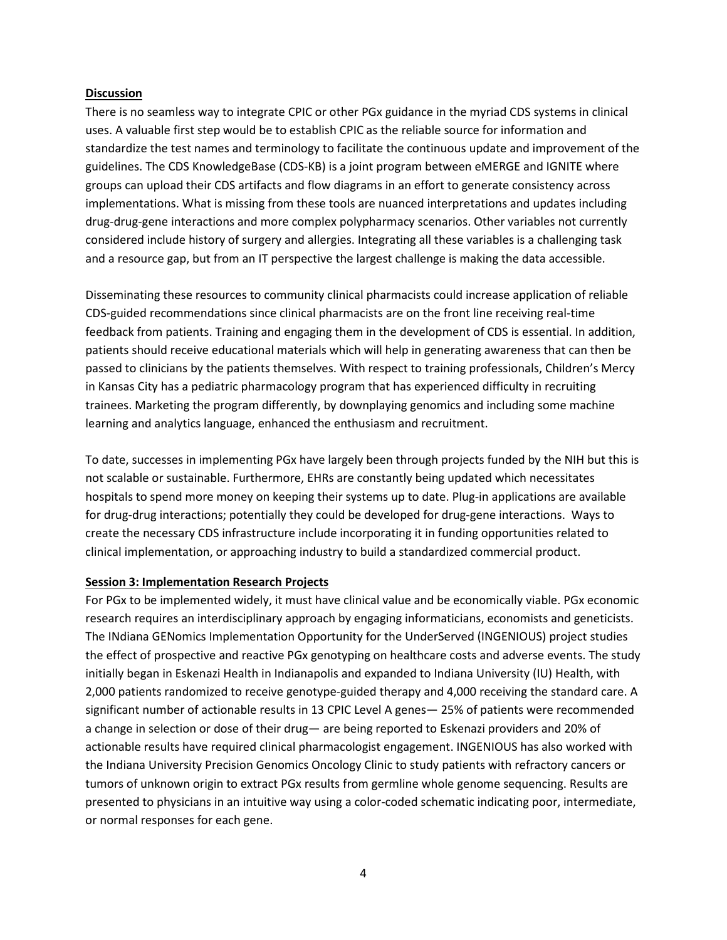### **Discussion**

There is no seamless way to integrate CPIC or other PGx guidance in the myriad CDS systems in clinical uses. A valuable first step would be to establish CPIC as the reliable source for information and standardize the test names and terminology to facilitate the continuous update and improvement of the guidelines. The CDS KnowledgeBase (CDS-KB) is a joint program between eMERGE and IGNITE where groups can upload their CDS artifacts and flow diagrams in an effort to generate consistency across implementations. What is missing from these tools are nuanced interpretations and updates including drug-drug-gene interactions and more complex polypharmacy scenarios. Other variables not currently considered include history of surgery and allergies. Integrating all these variables is a challenging task and a resource gap, but from an IT perspective the largest challenge is making the data accessible.

Disseminating these resources to community clinical pharmacists could increase application of reliable CDS-guided recommendations since clinical pharmacists are on the front line receiving real-time feedback from patients. Training and engaging them in the development of CDS is essential. In addition, patients should receive educational materials which will help in generating awareness that can then be passed to clinicians by the patients themselves. With respect to training professionals, Children's Mercy in Kansas City has a pediatric pharmacology program that has experienced difficulty in recruiting trainees. Marketing the program differently, by downplaying genomics and including some machine learning and analytics language, enhanced the enthusiasm and recruitment.

To date, successes in implementing PGx have largely been through projects funded by the NIH but this is not scalable or sustainable. Furthermore, EHRs are constantly being updated which necessitates hospitals to spend more money on keeping their systems up to date. Plug-in applications are available for drug-drug interactions; potentially they could be developed for drug-gene interactions. Ways to create the necessary CDS infrastructure include incorporating it in funding opportunities related to clinical implementation, or approaching industry to build a standardized commercial product.

### **Session 3: Implementation Research Projects**

For PGx to be implemented widely, it must have clinical value and be economically viable. PGx economic research requires an interdisciplinary approach by engaging informaticians, economists and geneticists. The INdiana GENomics Implementation Opportunity for the UnderServed (INGENIOUS) project studies the effect of prospective and reactive PGx genotyping on healthcare costs and adverse events. The study initially began in Eskenazi Health in Indianapolis and expanded to Indiana University (IU) Health, with 2,000 patients randomized to receive genotype-guided therapy and 4,000 receiving the standard care. A significant number of actionable results in 13 CPIC Level A genes— 25% of patients were recommended a change in selection or dose of their drug— are being reported to Eskenazi providers and 20% of actionable results have required clinical pharmacologist engagement. INGENIOUS has also worked with the Indiana University Precision Genomics Oncology Clinic to study patients with refractory cancers or tumors of unknown origin to extract PGx results from germline whole genome sequencing. Results are presented to physicians in an intuitive way using a color-coded schematic indicating poor, intermediate, or normal responses for each gene.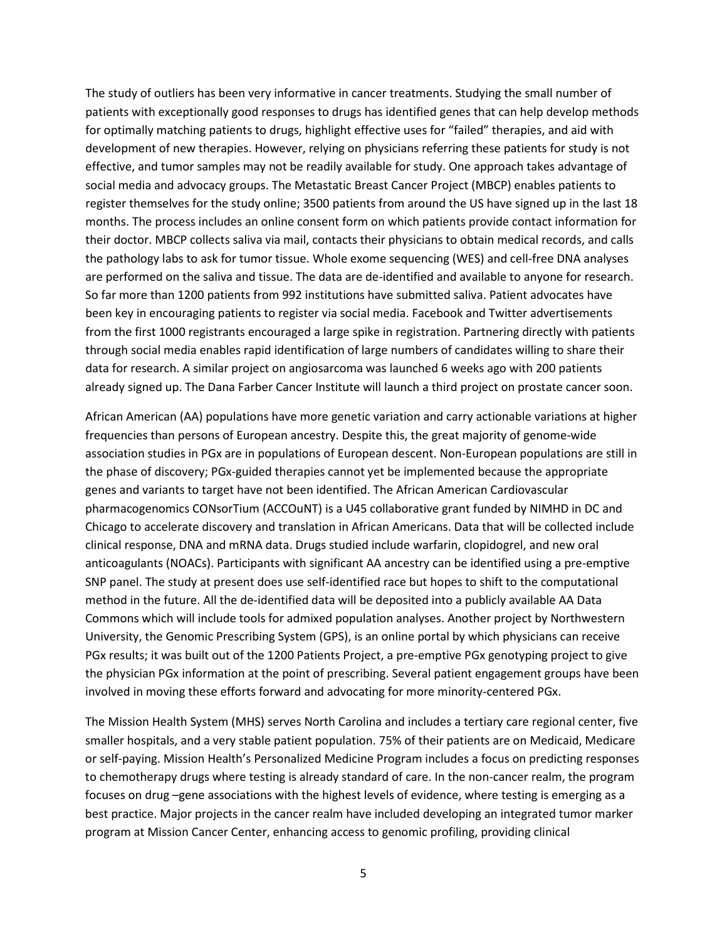The study of outliers has been very informative in cancer treatments. Studying the small number of patients with exceptionally good responses to drugs has identified genes that can help develop methods for optimally matching patients to drugs, highlight effective uses for "failed" therapies, and aid with development of new therapies. However, relying on physicians referring these patients for study is not effective, and tumor samples may not be readily available for study. One approach takes advantage of social media and advocacy groups. The Metastatic Breast Cancer Project (MBCP) enables patients to register themselves for the study online; 3500 patients from around the US have signed up in the last 18 months. The process includes an online consent form on which patients provide contact information for their doctor. MBCP collects saliva via mail, contacts their physicians to obtain medical records, and calls the pathology labs to ask for tumor tissue. Whole exome sequencing (WES) and cell-free DNA analyses are performed on the saliva and tissue. The data are de-identified and available to anyone for research. So far more than 1200 patients from 992 institutions have submitted saliva. Patient advocates have been key in encouraging patients to register via social media. Facebook and Twitter advertisements from the first 1000 registrants encouraged a large spike in registration. Partnering directly with patients through social media enables rapid identification of large numbers of candidates willing to share their data for research. A similar project on angiosarcoma was launched 6 weeks ago with 200 patients already signed up. The Dana Farber Cancer Institute will launch a third project on prostate cancer soon.

African American (AA) populations have more genetic variation and carry actionable variations at higher frequencies than persons of European ancestry. Despite this, the great majority of genome-wide association studies in PGx are in populations of European descent. Non-European populations are still in the phase of discovery; PGx-guided therapies cannot yet be implemented because the appropriate genes and variants to target have not been identified. The African American Cardiovascular pharmacogenomics CONsorTium (ACCOuNT) is a U45 collaborative grant funded by NIMHD in DC and Chicago to accelerate discovery and translation in African Americans. Data that will be collected include clinical response, DNA and mRNA data. Drugs studied include warfarin, clopidogrel, and new oral anticoagulants (NOACs). Participants with significant AA ancestry can be identified using a pre-emptive SNP panel. The study at present does use self-identified race but hopes to shift to the computational method in the future. All the de-identified data will be deposited into a publicly available AA Data Commons which will include tools for admixed population analyses. Another project by Northwestern University, the Genomic Prescribing System (GPS), is an online portal by which physicians can receive PGx results; it was built out of the 1200 Patients Project, a pre-emptive PGx genotyping project to give the physician PGx information at the point of prescribing. Several patient engagement groups have been involved in moving these efforts forward and advocating for more minority-centered PGx.

The Mission Health System (MHS) serves North Carolina and includes a tertiary care regional center, five smaller hospitals, and a very stable patient population. 75% of their patients are on Medicaid, Medicare or self-paying. Mission Health's Personalized Medicine Program includes a focus on predicting responses to chemotherapy drugs where testing is already standard of care. In the non-cancer realm, the program focuses on drug –gene associations with the highest levels of evidence, where testing is emerging as a best practice. Major projects in the cancer realm have included developing an integrated tumor marker program at Mission Cancer Center, enhancing access to genomic profiling, providing clinical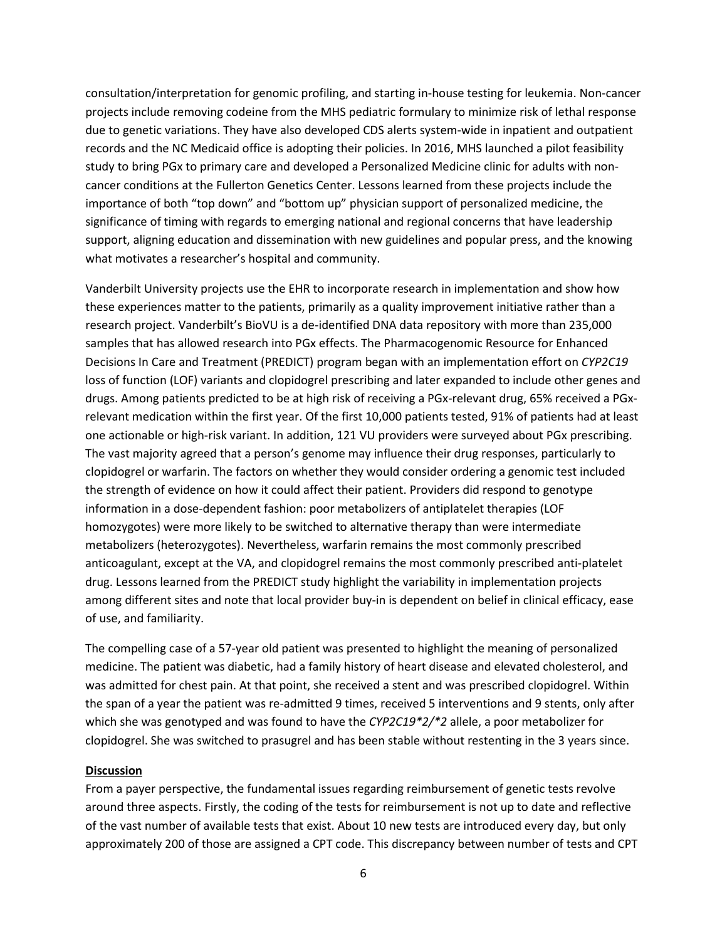consultation/interpretation for genomic profiling, and starting in-house testing for leukemia. Non-cancer projects include removing codeine from the MHS pediatric formulary to minimize risk of lethal response due to genetic variations. They have also developed CDS alerts system-wide in inpatient and outpatient records and the NC Medicaid office is adopting their policies. In 2016, MHS launched a pilot feasibility study to bring PGx to primary care and developed a Personalized Medicine clinic for adults with noncancer conditions at the Fullerton Genetics Center. Lessons learned from these projects include the importance of both "top down" and "bottom up" physician support of personalized medicine, the significance of timing with regards to emerging national and regional concerns that have leadership support, aligning education and dissemination with new guidelines and popular press, and the knowing what motivates a researcher's hospital and community.

Vanderbilt University projects use the EHR to incorporate research in implementation and show how these experiences matter to the patients, primarily as a quality improvement initiative rather than a research project. Vanderbilt's BioVU is a de-identified DNA data repository with more than 235,000 samples that has allowed research into PGx effects. The Pharmacogenomic Resource for Enhanced Decisions In Care and Treatment (PREDICT) program began with an implementation effort on *CYP2C19*  loss of function (LOF) variants and clopidogrel prescribing and later expanded to include other genes and drugs. Among patients predicted to be at high risk of receiving a PGx-relevant drug, 65% received a PGxrelevant medication within the first year. Of the first 10,000 patients tested, 91% of patients had at least one actionable or high-risk variant. In addition, 121 VU providers were surveyed about PGx prescribing. The vast majority agreed that a person's genome may influence their drug responses, particularly to clopidogrel or warfarin. The factors on whether they would consider ordering a genomic test included the strength of evidence on how it could affect their patient. Providers did respond to genotype information in a dose-dependent fashion: poor metabolizers of antiplatelet therapies (LOF homozygotes) were more likely to be switched to alternative therapy than were intermediate metabolizers (heterozygotes). Nevertheless, warfarin remains the most commonly prescribed anticoagulant, except at the VA, and clopidogrel remains the most commonly prescribed anti-platelet drug. Lessons learned from the PREDICT study highlight the variability in implementation projects among different sites and note that local provider buy-in is dependent on belief in clinical efficacy, ease of use, and familiarity.

The compelling case of a 57-year old patient was presented to highlight the meaning of personalized medicine. The patient was diabetic, had a family history of heart disease and elevated cholesterol, and was admitted for chest pain. At that point, she received a stent and was prescribed clopidogrel. Within the span of a year the patient was re-admitted 9 times, received 5 interventions and 9 stents, only after which she was genotyped and was found to have the *CYP2C19\*2/\*2* allele, a poor metabolizer for clopidogrel. She was switched to prasugrel and has been stable without restenting in the 3 years since.

## **Discussion**

From a payer perspective, the fundamental issues regarding reimbursement of genetic tests revolve around three aspects. Firstly, the coding of the tests for reimbursement is not up to date and reflective of the vast number of available tests that exist. About 10 new tests are introduced every day, but only approximately 200 of those are assigned a CPT code. This discrepancy between number of tests and CPT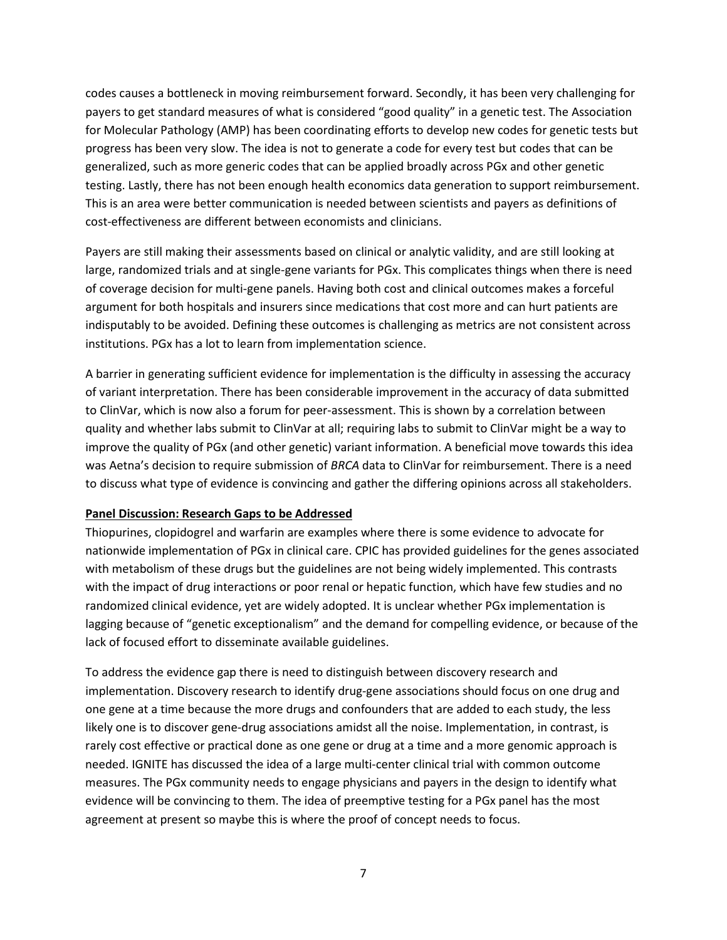codes causes a bottleneck in moving reimbursement forward. Secondly, it has been very challenging for payers to get standard measures of what is considered "good quality" in a genetic test. The Association for Molecular Pathology (AMP) has been coordinating efforts to develop new codes for genetic tests but progress has been very slow. The idea is not to generate a code for every test but codes that can be generalized, such as more generic codes that can be applied broadly across PGx and other genetic testing. Lastly, there has not been enough health economics data generation to support reimbursement. This is an area were better communication is needed between scientists and payers as definitions of cost-effectiveness are different between economists and clinicians.

Payers are still making their assessments based on clinical or analytic validity, and are still looking at large, randomized trials and at single-gene variants for PGx. This complicates things when there is need of coverage decision for multi-gene panels. Having both cost and clinical outcomes makes a forceful argument for both hospitals and insurers since medications that cost more and can hurt patients are indisputably to be avoided. Defining these outcomes is challenging as metrics are not consistent across institutions. PGx has a lot to learn from implementation science.

A barrier in generating sufficient evidence for implementation is the difficulty in assessing the accuracy of variant interpretation. There has been considerable improvement in the accuracy of data submitted to ClinVar, which is now also a forum for peer-assessment. This is shown by a correlation between quality and whether labs submit to ClinVar at all; requiring labs to submit to ClinVar might be a way to improve the quality of PGx (and other genetic) variant information. A beneficial move towards this idea was Aetna's decision to require submission of *BRCA* data to ClinVar for reimbursement. There is a need to discuss what type of evidence is convincing and gather the differing opinions across all stakeholders.

### **Panel Discussion: Research Gaps to be Addressed**

Thiopurines, clopidogrel and warfarin are examples where there is some evidence to advocate for nationwide implementation of PGx in clinical care. CPIC has provided guidelines for the genes associated with metabolism of these drugs but the guidelines are not being widely implemented. This contrasts with the impact of drug interactions or poor renal or hepatic function, which have few studies and no randomized clinical evidence, yet are widely adopted. It is unclear whether PGx implementation is lagging because of "genetic exceptionalism" and the demand for compelling evidence, or because of the lack of focused effort to disseminate available guidelines.

To address the evidence gap there is need to distinguish between discovery research and implementation. Discovery research to identify drug-gene associations should focus on one drug and one gene at a time because the more drugs and confounders that are added to each study, the less likely one is to discover gene-drug associations amidst all the noise. Implementation, in contrast, is rarely cost effective or practical done as one gene or drug at a time and a more genomic approach is needed. IGNITE has discussed the idea of a large multi-center clinical trial with common outcome measures. The PGx community needs to engage physicians and payers in the design to identify what evidence will be convincing to them. The idea of preemptive testing for a PGx panel has the most agreement at present so maybe this is where the proof of concept needs to focus.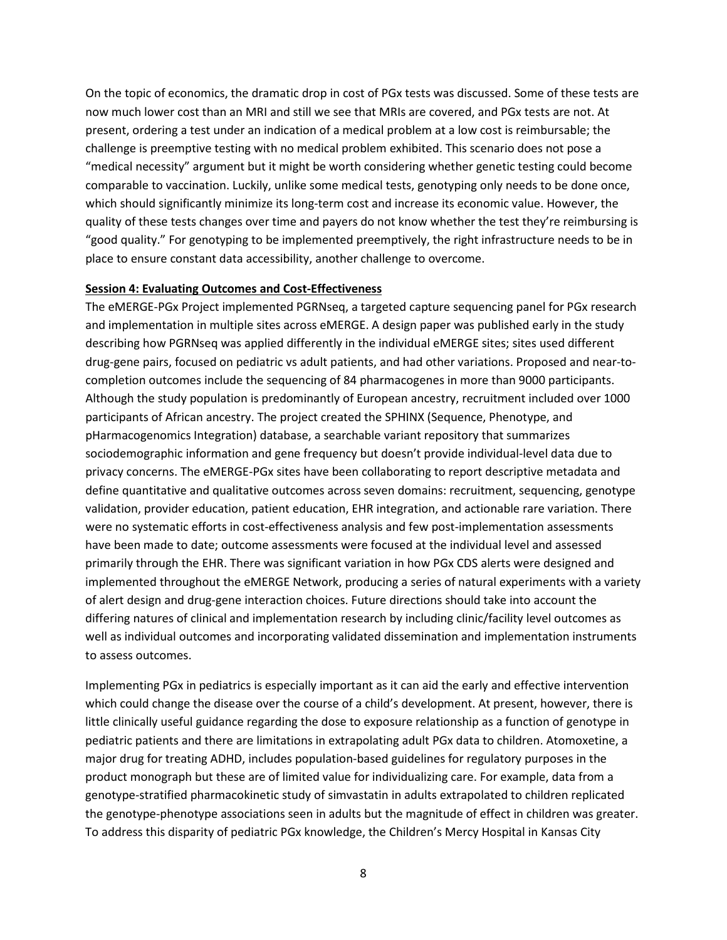On the topic of economics, the dramatic drop in cost of PGx tests was discussed. Some of these tests are now much lower cost than an MRI and still we see that MRIs are covered, and PGx tests are not. At present, ordering a test under an indication of a medical problem at a low cost is reimbursable; the challenge is preemptive testing with no medical problem exhibited. This scenario does not pose a "medical necessity" argument but it might be worth considering whether genetic testing could become comparable to vaccination. Luckily, unlike some medical tests, genotyping only needs to be done once, which should significantly minimize its long-term cost and increase its economic value. However, the quality of these tests changes over time and payers do not know whether the test they're reimbursing is "good quality." For genotyping to be implemented preemptively, the right infrastructure needs to be in place to ensure constant data accessibility, another challenge to overcome.

#### **Session 4: Evaluating Outcomes and Cost-Effectiveness**

The eMERGE-PGx Project implemented PGRNseq, a targeted capture sequencing panel for PGx research and implementation in multiple sites across eMERGE. A design paper was published early in the study describing how PGRNseq was applied differently in the individual eMERGE sites; sites used different drug-gene pairs, focused on pediatric vs adult patients, and had other variations. Proposed and near-tocompletion outcomes include the sequencing of 84 pharmacogenes in more than 9000 participants. Although the study population is predominantly of European ancestry, recruitment included over 1000 participants of African ancestry. The project created the SPHINX (Sequence, Phenotype, and pHarmacogenomics Integration) database, a searchable variant repository that summarizes sociodemographic information and gene frequency but doesn't provide individual-level data due to privacy concerns. The eMERGE-PGx sites have been collaborating to report descriptive metadata and define quantitative and qualitative outcomes across seven domains: recruitment, sequencing, genotype validation, provider education, patient education, EHR integration, and actionable rare variation. There were no systematic efforts in cost-effectiveness analysis and few post-implementation assessments have been made to date; outcome assessments were focused at the individual level and assessed primarily through the EHR. There was significant variation in how PGx CDS alerts were designed and implemented throughout the eMERGE Network, producing a series of natural experiments with a variety of alert design and drug-gene interaction choices. Future directions should take into account the differing natures of clinical and implementation research by including clinic/facility level outcomes as well as individual outcomes and incorporating validated dissemination and implementation instruments to assess outcomes.

Implementing PGx in pediatrics is especially important as it can aid the early and effective intervention which could change the disease over the course of a child's development. At present, however, there is little clinically useful guidance regarding the dose to exposure relationship as a function of genotype in pediatric patients and there are limitations in extrapolating adult PGx data to children. Atomoxetine, a major drug for treating ADHD, includes population-based guidelines for regulatory purposes in the product monograph but these are of limited value for individualizing care. For example, data from a genotype-stratified pharmacokinetic study of simvastatin in adults extrapolated to children replicated the genotype-phenotype associations seen in adults but the magnitude of effect in children was greater. To address this disparity of pediatric PGx knowledge, the Children's Mercy Hospital in Kansas City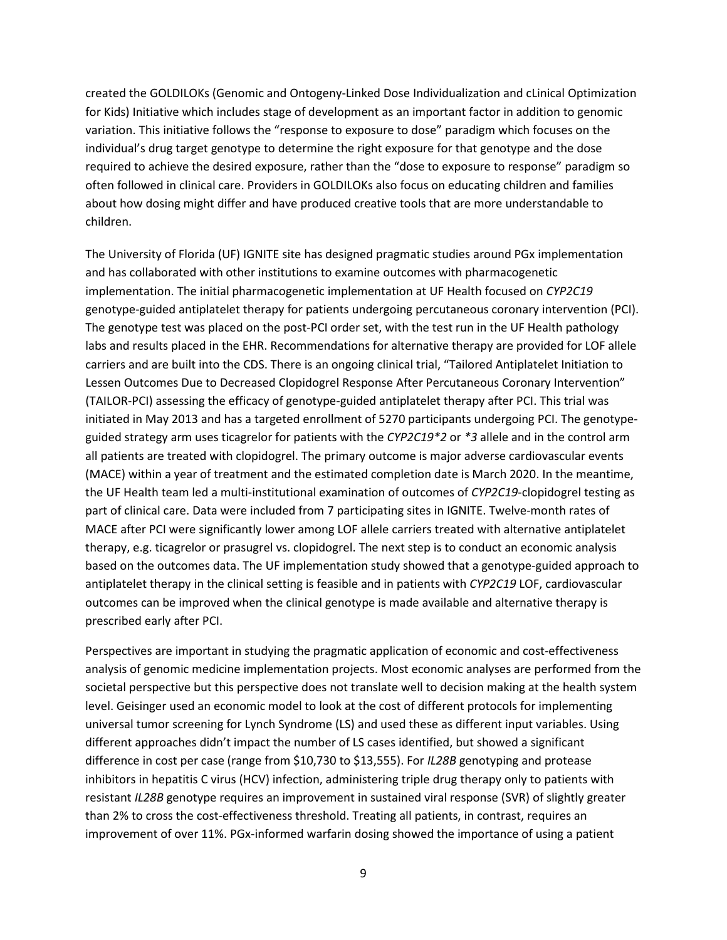created the GOLDILOKs (Genomic and Ontogeny-Linked Dose Individualization and cLinical Optimization for Kids) Initiative which includes stage of development as an important factor in addition to genomic variation. This initiative follows the "response to exposure to dose" paradigm which focuses on the individual's drug target genotype to determine the right exposure for that genotype and the dose required to achieve the desired exposure, rather than the "dose to exposure to response" paradigm so often followed in clinical care. Providers in GOLDILOKs also focus on educating children and families about how dosing might differ and have produced creative tools that are more understandable to children.

The University of Florida (UF) IGNITE site has designed pragmatic studies around PGx implementation and has collaborated with other institutions to examine outcomes with pharmacogenetic implementation. The initial pharmacogenetic implementation at UF Health focused on *CYP2C19* genotype-guided antiplatelet therapy for patients undergoing percutaneous coronary intervention (PCI). The genotype test was placed on the post-PCI order set, with the test run in the UF Health pathology labs and results placed in the EHR. Recommendations for alternative therapy are provided for LOF allele carriers and are built into the CDS. There is an ongoing clinical trial, "Tailored Antiplatelet Initiation to Lessen Outcomes Due to Decreased Clopidogrel Response After Percutaneous Coronary Intervention" (TAILOR-PCI) assessing the efficacy of genotype-guided antiplatelet therapy after PCI. This trial was initiated in May 2013 and has a targeted enrollment of 5270 participants undergoing PCI. The genotypeguided strategy arm uses ticagrelor for patients with the *CYP2C19\*2* or *\*3* allele and in the control arm all patients are treated with clopidogrel. The primary outcome is major adverse cardiovascular events (MACE) within a year of treatment and the estimated completion date is March 2020. In the meantime, the UF Health team led a multi-institutional examination of outcomes of *CYP2C19*-clopidogrel testing as part of clinical care. Data were included from 7 participating sites in IGNITE. Twelve-month rates of MACE after PCI were significantly lower among LOF allele carriers treated with alternative antiplatelet therapy, e.g. ticagrelor or prasugrel vs. clopidogrel. The next step is to conduct an economic analysis based on the outcomes data. The UF implementation study showed that a genotype-guided approach to antiplatelet therapy in the clinical setting is feasible and in patients with *CYP2C19* LOF, cardiovascular outcomes can be improved when the clinical genotype is made available and alternative therapy is prescribed early after PCI.

Perspectives are important in studying the pragmatic application of economic and cost-effectiveness analysis of genomic medicine implementation projects. Most economic analyses are performed from the societal perspective but this perspective does not translate well to decision making at the health system level. Geisinger used an economic model to look at the cost of different protocols for implementing universal tumor screening for Lynch Syndrome (LS) and used these as different input variables. Using different approaches didn't impact the number of LS cases identified, but showed a significant difference in cost per case (range from \$10,730 to \$13,555). For *IL28B* genotyping and protease inhibitors in hepatitis C virus (HCV) infection, administering triple drug therapy only to patients with resistant *IL28B* genotype requires an improvement in sustained viral response (SVR) of slightly greater than 2% to cross the cost-effectiveness threshold. Treating all patients, in contrast, requires an improvement of over 11%. PGx-informed warfarin dosing showed the importance of using a patient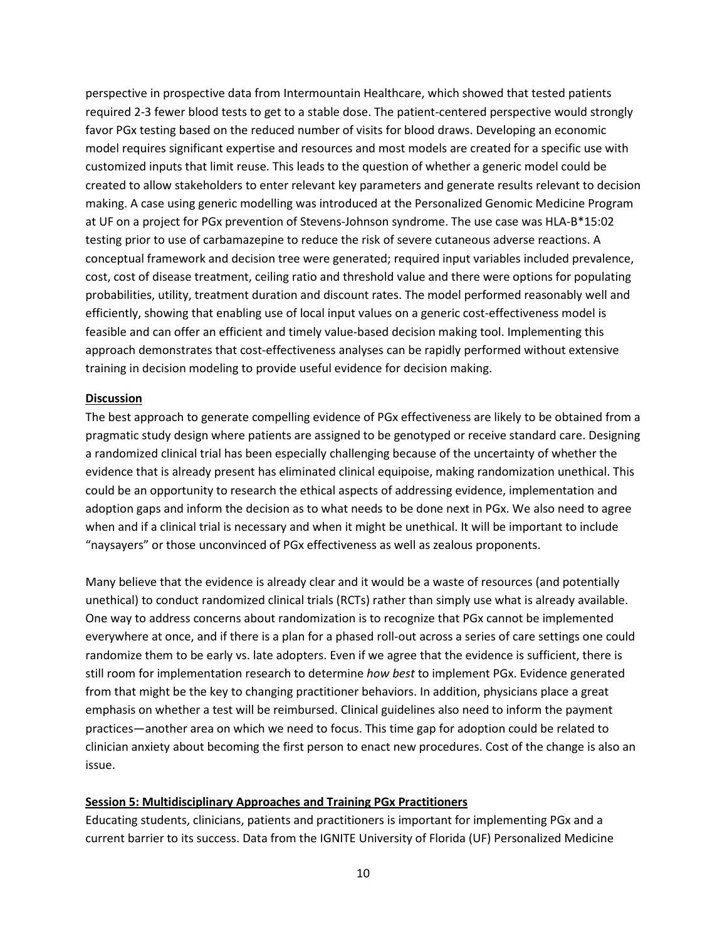perspective in prospective data from Intermountain Healthcare, which showed that tested patients required 2-3 fewer blood tests to get to a stable dose. The patient-centered perspective would strongly favor PGx testing based on the reduced number of visits for blood draws. Developing an economic model requires significant expertise and resources and most models are created for a specific use with customized inputs that limit reuse. This leads to the question of whether a generic model could be created to allow stakeholders to enter relevant key parameters and generate results relevant to decision making. A case using generic modelling was introduced at the Personalized Genomic Medicine Program at UF on a project for PGx prevention of Stevens-Johnson syndrome. The use case was HLA-B\*15:02 testing prior to use of carbamazepine to reduce the risk of severe cutaneous adverse reactions. A conceptual framework and decision tree were generated; required input variables included prevalence, cost, cost of disease treatment, ceiling ratio and threshold value and there were options for populating probabilities, utility, treatment duration and discount rates. The model performed reasonably well and efficiently, showing that enabling use of local input values on a generic cost-effectiveness model is feasible and can offer an efficient and timely value-based decision making tool. Implementing this approach demonstrates that cost-effectiveness analyses can be rapidly performed without extensive training in decision modeling to provide useful evidence for decision making.

## **Discussion**

The best approach to generate compelling evidence of PGx effectiveness are likely to be obtained from a pragmatic study design where patients are assigned to be genotyped or receive standard care. Designing a randomized clinical trial has been especially challenging because of the uncertainty of whether the evidence that is already present has eliminated clinical equipoise, making randomization unethical. This could be an opportunity to research the ethical aspects of addressing evidence, implementation and adoption gaps and inform the decision as to what needs to be done next in PGx. We also need to agree when and if a clinical trial is necessary and when it might be unethical. It will be important to include "naysayers" or those unconvinced of PGx effectiveness as well as zealous proponents.

Many believe that the evidence is already clear and it would be a waste of resources (and potentially unethical) to conduct randomized clinical trials (RCTs) rather than simply use what is already available. One way to address concerns about randomization is to recognize that PGx cannot be implemented everywhere at once, and if there is a plan for a phased roll-out across a series of care settings one could randomize them to be early vs. late adopters. Even if we agree that the evidence is sufficient, there is still room for implementation research to determine *how best* to implement PGx. Evidence generated from that might be the key to changing practitioner behaviors. In addition, physicians place a great emphasis on whether a test will be reimbursed. Clinical guidelines also need to inform the payment practices—another area on which we need to focus. This time gap for adoption could be related to clinician anxiety about becoming the first person to enact new procedures. Cost of the change is also an issue.

### **Session 5: Multidisciplinary Approaches and Training PGx Practitioners**

Educating students, clinicians, patients and practitioners is important for implementing PGx and a current barrier to its success. Data from the IGNITE University of Florida (UF) Personalized Medicine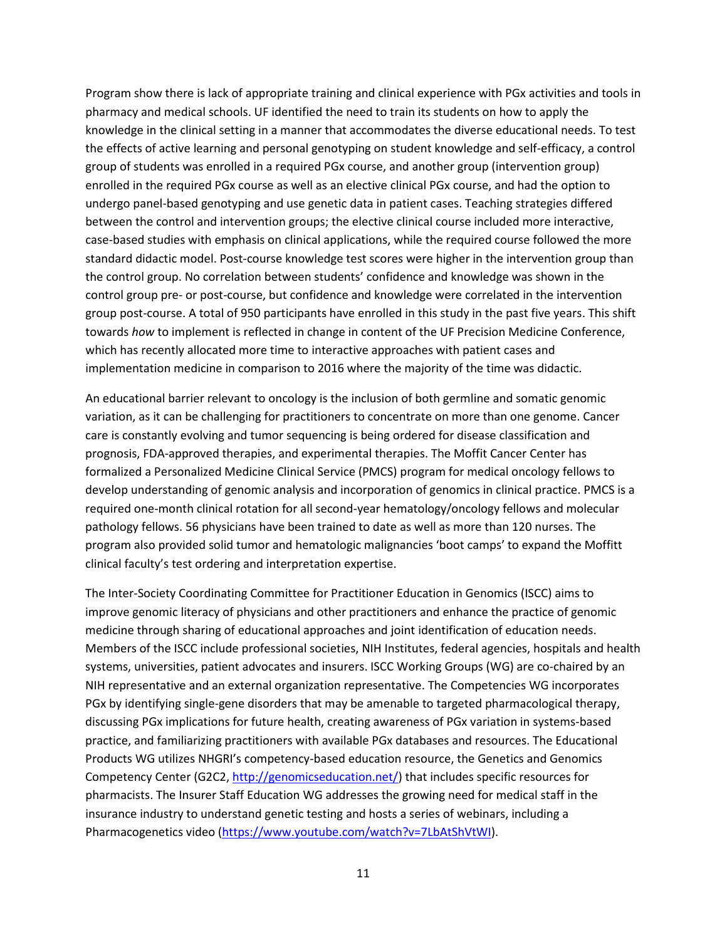Program show there is lack of appropriate training and clinical experience with PGx activities and tools in pharmacy and medical schools. UF identified the need to train its students on how to apply the knowledge in the clinical setting in a manner that accommodates the diverse educational needs. To test the effects of active learning and personal genotyping on student knowledge and self-efficacy, a control group of students was enrolled in a required PGx course, and another group (intervention group) enrolled in the required PGx course as well as an elective clinical PGx course, and had the option to undergo panel-based genotyping and use genetic data in patient cases. Teaching strategies differed between the control and intervention groups; the elective clinical course included more interactive, case-based studies with emphasis on clinical applications, while the required course followed the more standard didactic model. Post-course knowledge test scores were higher in the intervention group than the control group. No correlation between students' confidence and knowledge was shown in the control group pre- or post-course, but confidence and knowledge were correlated in the intervention group post-course. A total of 950 participants have enrolled in this study in the past five years. This shift towards *how* to implement is reflected in change in content of the UF Precision Medicine Conference, which has recently allocated more time to interactive approaches with patient cases and implementation medicine in comparison to 2016 where the majority of the time was didactic.

An educational barrier relevant to oncology is the inclusion of both germline and somatic genomic variation, as it can be challenging for practitioners to concentrate on more than one genome. Cancer care is constantly evolving and tumor sequencing is being ordered for disease classification and prognosis, FDA-approved therapies, and experimental therapies. The Moffit Cancer Center has formalized a Personalized Medicine Clinical Service (PMCS) program for medical oncology fellows to develop understanding of genomic analysis and incorporation of genomics in clinical practice. PMCS is a required one-month clinical rotation for all second-year hematology/oncology fellows and molecular pathology fellows. 56 physicians have been trained to date as well as more than 120 nurses. The program also provided solid tumor and hematologic malignancies 'boot camps' to expand the Moffitt clinical faculty's test ordering and interpretation expertise.

The Inter-Society Coordinating Committee for Practitioner Education in Genomics (ISCC) aims to improve genomic literacy of physicians and other practitioners and enhance the practice of genomic medicine through sharing of educational approaches and joint identification of education needs. Members of the ISCC include professional societies, NIH Institutes, federal agencies, hospitals and health systems, universities, patient advocates and insurers. ISCC Working Groups (WG) are co-chaired by an NIH representative and an external organization representative. The Competencies WG incorporates PGx by identifying single-gene disorders that may be amenable to targeted pharmacological therapy, discussing PGx implications for future health, creating awareness of PGx variation in systems-based practice, and familiarizing practitioners with available PGx databases and resources. The Educational Products WG utilizes NHGRI's competency-based education resource, the Genetics and Genomics Competency Center (G2C2, [http://genomicseducation.net/\)](http://genomicseducation.net/) that includes specific resources for pharmacists. The Insurer Staff Education WG addresses the growing need for medical staff in the insurance industry to understand genetic testing and hosts a series of webinars, including a Pharmacogenetics video [\(https://www.youtube.com/watch?v=7LbAtShVtWI\)](https://www.youtube.com/watch?v=7LbAtShVtWI).